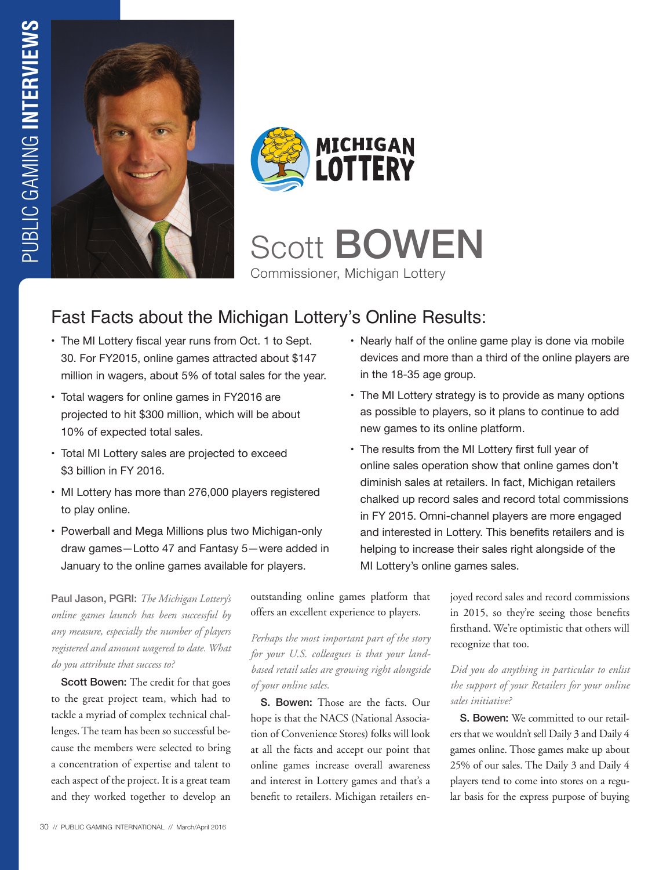



Scott **BOWEN** Commissioner, Michigan Lottery

# Fast Facts about the Michigan Lottery's Online Results:

- The MI Lottery fiscal year runs from Oct. 1 to Sept. 30. For FY2015, online games attracted about \$147 million in wagers, about 5% of total sales for the year.
- Total wagers for online games in FY2016 are projected to hit \$300 million, which will be about 10% of expected total sales.
- Total MI Lottery sales are projected to exceed \$3 billion in FY 2016.
- MI Lottery has more than 276,000 players registered to play online.
- Powerball and Mega Millions plus two Michigan-only draw games—Lotto 47 and Fantasy 5—were added in January to the online games available for players.

Paul Jason, PGRI: *The Michigan Lottery's online games launch has been successful by any measure, especially the number of players registered and amount wagered to date. What do you attribute that success to?* 

Scott Bowen: The credit for that goes to the great project team, which had to tackle a myriad of complex technical challenges. The team has been so successful because the members were selected to bring a concentration of expertise and talent to each aspect of the project. It is a great team and they worked together to develop an outstanding online games platform that offers an excellent experience to players.

*Perhaps the most important part of the story for your U.S. colleagues is that your landbased retail sales are growing right alongside of your online sales.*

S. Bowen: Those are the facts. Our hope is that the NACS (National Association of Convenience Stores) folks will look at all the facts and accept our point that online games increase overall awareness and interest in Lottery games and that's a benefit to retailers. Michigan retailers en-

- Nearly half of the online game play is done via mobile devices and more than a third of the online players are in the 18-35 age group.
- The MI Lottery strategy is to provide as many options as possible to players, so it plans to continue to add new games to its online platform.
- The results from the MI Lottery first full year of online sales operation show that online games don't diminish sales at retailers. In fact, Michigan retailers chalked up record sales and record total commissions in FY 2015. Omni-channel players are more engaged and interested in Lottery. This benefits retailers and is helping to increase their sales right alongside of the MI Lottery's online games sales.

joyed record sales and record commissions in 2015, so they're seeing those benefits firsthand. We're optimistic that others will recognize that too.

### *Did you do anything in particular to enlist the support of your Retailers for your online sales initiative?*

S. Bowen: We committed to our retailers that we wouldn't sell Daily 3 and Daily 4 games online. Those games make up about 25% of our sales. The Daily 3 and Daily 4 players tend to come into stores on a regular basis for the express purpose of buying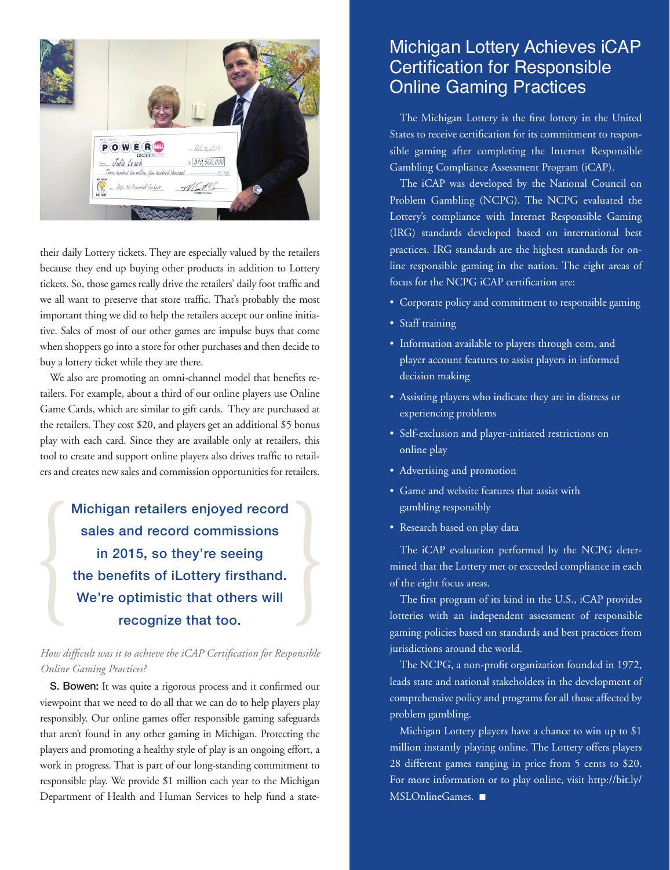

their daily Lottery tickets. They are especially valued by the retailers because they end up buying other products in addition to Lottery tickets. So, those games really drive the retailers' daily foot traffic and we all want to preserve that store traffic. That's probably the most important thing we did to help the retailers accept our online initiative. Sales of most of our other games are impulse buys that come when shoppers go into a store for other purchases and then decide to buy a lottery ticket while they are there.

We also are promoting an omni-channel model that benefits retailers. For example, about a third of our online players use Online Game Cards, which are similar to gift cards. They are purchased at the retailers. They cost \$20, and players get an additional \$5 bonus play with each card. Since they are available only at retailers, this tool to create and support online players also drives traffic to retailers and creates new sales and commission opportunities for retailers.

Michigan retailers enjoyed record sales and record commissions in 2015, so they're seeing the benefits of iLottery firsthand. We're optimistic that others will recognize that too.

### *How difficult was it to achieve the iCAP Certification for Responsible Online Gaming Practices?*

S. Bowen: It was quite a rigorous process and it confirmed our viewpoint that we need to do all that we can do to help players play responsibly. Our online games offer responsible gaming safeguards that aren't found in any other gaming in Michigan. Protecting the players and promoting a healthy style of play is an ongoing effort, a work in progress. That is part of our long-standing commitment to responsible play. We provide \$1 million each year to the Michigan Department of Health and Human Services to help fund a state-

## Michigan Lottery Achieves iCAP Certification for Responsible Online Gaming Practices

The Michigan Lottery is the first lottery in the United States to receive certification for its commitment to responsible gaming after completing the Internet Responsible Gambling Compliance Assessment Program (iCAP).

The iCAP was developed by the National Council on Problem Gambling (NCPG). The NCPG evaluated the Lottery's compliance with Internet Responsible Gaming (IRG) standards developed based on international best practices. IRG standards are the highest standards for online responsible gaming in the nation. The eight areas of focus for the NCPG iCAP certification are:

- Corporate policy and commitment to responsible gaming
- Staff training
- Information available to players through com, and player account features to assist players in informed decision making
- Assisting players who indicate they are in distress or experiencing problems
- Self-exclusion and player-initiated restrictions on online play
- Advertising and promotion
- Game and website features that assist with gambling responsibly
- Research based on play data

The iCAP evaluation performed by the NCPG determined that the Lottery met or exceeded compliance in each of the eight focus areas.

The first program of its kind in the U.S., iCAP provides lotteries with an independent assessment of responsible gaming policies based on standards and best practices from jurisdictions around the world.

The NCPG, a non-profit organization founded in 1972, leads state and national stakeholders in the development of comprehensive policy and programs for all those affected by problem gambling.

Michigan Lottery players have a chance to win up to \$1 million instantly playing online. The Lottery offers players 28 different games ranging in price from 5 cents to \$20. For more information or to play online, visit http://bit.ly/ MSLOnlineGames. ■